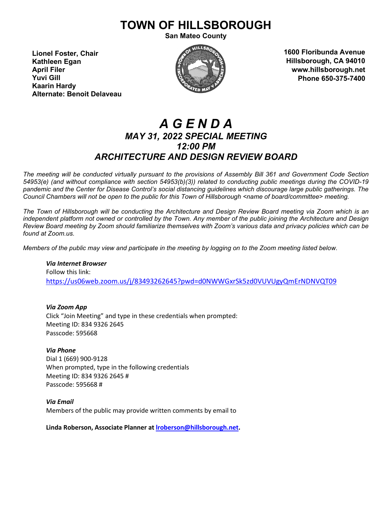# **TOWN OF HILLSBOROUGH**

**San Mateo County**

**Lionel Foster, Chair Kathleen Egan April Filer Yuvi Gill Kaarin Hardy Alternate: Benoit Delaveau**



**1600 Floribunda Avenue Hillsborough, CA 94010 www.hillsborough.net Phone 650-375-7400**

# *A G E N D A MAY 31, 2022 SPECIAL MEETING 12:00 PM ARCHITECTURE AND DESIGN REVIEW BOARD*

*The meeting will be conducted virtually pursuant to the provisions of Assembly Bill 361 and Government Code Section 54953(e) (and without compliance with section 54953(b)(3)) related to conducting public meetings during the COVID-19 pandemic and the Center for Disease Control's social distancing guidelines which discourage large public gatherings. The Council Chambers will not be open to the public for this Town of Hillsborough <name of board/committee> meeting.*

*The Town of Hillsborough will be conducting the Architecture and Design Review Board meeting via Zoom which is an independent platform not owned or controlled by the Town. Any member of the public joining the Architecture and Design Review Board meeting by Zoom should familiarize themselves with Zoom's various data and privacy policies which can be found at Zoom.us.*

*Members of the public may view and participate in the meeting by logging on to the Zoom meeting listed below.* 

*Via Internet Browser* Follow this link: <https://us06web.zoom.us/j/83493262645?pwd=d0NWWGxrSk5zd0VUVUgyQmErNDNVQT09>

*Via Zoom App* Click "Join Meeting" and type in these credentials when prompted: Meeting ID: 834 9326 2645 Passcode: 595668

*Via Phone* Dial 1 (669) 900-9128 When prompted, type in the following credentials Meeting ID: 834 9326 2645 # Passcode: 595668 #

*Via Email* Members of the public may provide written comments by email to

**Linda Roberson, Associate Planner a[t lroberson@hillsborough.net.](mailto:lroberson@hillsborough.net)**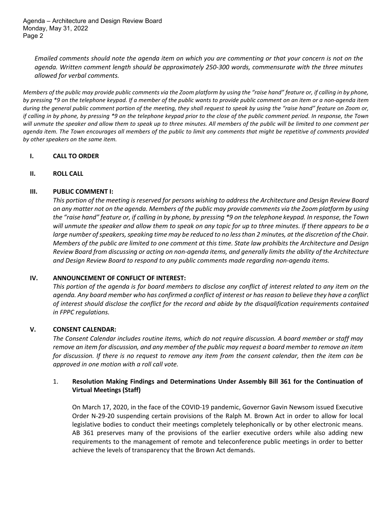Agenda – Architecture and Design Review Board Monday, May 31, 2022 Page 2

*Emailed comments should note the agenda item on which you are commenting or that your concern is not on the agenda. Written comment length should be approximately 250-300 words, commensurate with the three minutes allowed for verbal comments.* 

*Members of the public may provide public comments via the Zoom platform by using the "raise hand" feature or, if calling in by phone, by pressing \*9 on the telephone keypad. If a member of the public wants to provide public comment on an item or a non-agenda item during the general public comment portion of the meeting, they shall request to speak by using the "raise hand" feature on Zoom or, if calling in by phone, by pressing \*9 on the telephone keypad prior to the close of the public comment period. In response, the Town will unmute the speaker and allow them to speak up to three minutes. All members of the public will be limited to one comment per agenda item. The Town encourages all members of the public to limit any comments that might be repetitive of comments provided by other speakers on the same item.* 

# **I. CALL TO ORDER**

### **II. ROLL CALL**

### **III. PUBLIC COMMENT I:**

*This portion of the meeting is reserved for persons wishing to address the Architecture and Design Review Board on any matter not on the agenda. Members of the public may provide comments via the Zoom platform by using the "raise hand" feature or, if calling in by phone, by pressing \*9 on the telephone keypad. In response, the Town will unmute the speaker and allow them to speak on any topic for up to three minutes. If there appears to be a large number of speakers, speaking time may be reduced to no less than 2 minutes, at the discretion of the Chair. Members of the public are limited to one comment at this time. State law prohibits the Architecture and Design Review Board from discussing or acting on non-agenda items, and generally limits the ability of the Architecture and Design Review Board to respond to any public comments made regarding non-agenda items.*

# **IV. ANNOUNCEMENT OF CONFLICT OF INTEREST:**

*This portion of the agenda is for board members to disclose any conflict of interest related to any item on the agenda. Any board member who has confirmed a conflict of interest or has reason to believe they have a conflict of interest should disclose the conflict for the record and abide by the disqualification requirements contained in FPPC regulations.*

#### **V. CONSENT CALENDAR:**

*The Consent Calendar includes routine items, which do not require discussion. A board member or staff may remove an item for discussion, and any member of the public may request a board member to remove an item for discussion. If there is no request to remove any item from the consent calendar, then the item can be approved in one motion with a roll call vote.*

# 1. **Resolution Making Findings and Determinations Under Assembly Bill 361 for the Continuation of Virtual Meetings (Staff)**

On March 17, 2020, in the face of the COVID-19 pandemic, Governor Gavin Newsom issued Executive Order N-29-20 suspending certain provisions of the Ralph M. Brown Act in order to allow for local legislative bodies to conduct their meetings completely telephonically or by other electronic means. AB 361 preserves many of the provisions of the earlier executive orders while also adding new requirements to the management of remote and teleconference public meetings in order to better achieve the levels of transparency that the Brown Act demands.